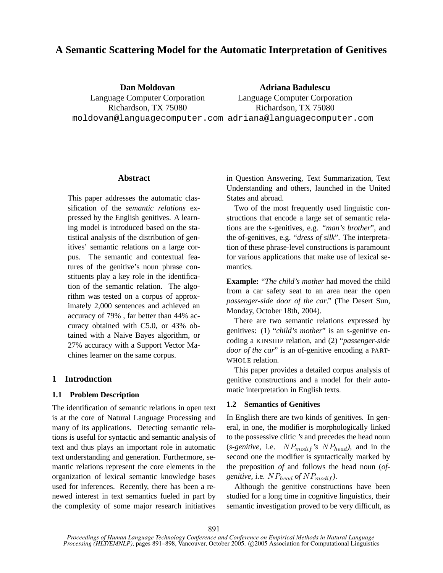# **A Semantic Scattering Model for the Automatic Interpretation of Genitives**

**Dan Moldovan** Language Computer Corporation Richardson, TX 75080 moldovan@languagecomputer.com adriana@languagecomputer.com **Adriana Badulescu** Language Computer Corporation Richardson, TX 75080

### **Abstract**

This paper addresses the automatic classification of the *semantic relations* expressed by the English genitives. A learning model is introduced based on the statistical analysis of the distribution of genitives' semantic relations on a large corpus. The semantic and contextual features of the genitive's noun phrase constituents play a key role in the identification of the semantic relation. The algorithm was tested on a corpus of approximately 2,000 sentences and achieved an accuracy of 79% , far better than 44% accuracy obtained with C5.0, or 43% obtained with a Naive Bayes algorithm, or 27% accuracy with a Support Vector Machines learner on the same corpus.

### **1 Introduction**

### **1.1 Problem Description**

The identification of semantic relations in open text is at the core of Natural Language Processing and many of its applications. Detecting semantic relations is useful for syntactic and semantic analysis of text and thus plays an important role in automatic text understanding and generation. Furthermore, semantic relations represent the core elements in the organization of lexical semantic knowledge bases used for inferences. Recently, there has been a renewed interest in text semantics fueled in part by the complexity of some major research initiatives

in Question Answering, Text Summarization, Text Understanding and others, launched in the United States and abroad.

Two of the most frequently used linguistic constructions that encode a large set of semantic relations are the s-genitives, e.g. "*man's brother*", and the of-genitives, e.g. "*dress of silk*". The interpretation of these phrase-level constructions is paramount for various applications that make use of lexical semantics.

**Example:** "*The child's mother* had moved the child from a car safety seat to an area near the open *passenger-side door of the car*." (The Desert Sun, Monday, October 18th, 2004).

There are two semantic relations expressed by genitives: (1) "*child's mother*" is an s-genitive encoding a KINSHIP relation, and (2) "*passenger-side door of the car*" is an of-genitive encoding a PART-WHOLE relation.

This paper provides a detailed corpus analysis of genitive constructions and a model for their automatic interpretation in English texts.

### **1.2 Semantics of Genitives**

In English there are two kinds of genitives. In general, in one, the modifier is morphologically linked to the possessive clitic *'s* and precedes the head noun (*s-genitive*, i.e.  $NP_{modif}$ 's  $NP_{head}$ ), and in the second one the modifier is syntactically marked by the preposition *of* and follows the head noun (*ofgenitive, i.e.*  $NP_{head}$  *of*  $NP_{model}$ *).* 

Although the genitive constructions have been studied for a long time in cognitive linguistics, their semantic investigation proved to be very difficult, as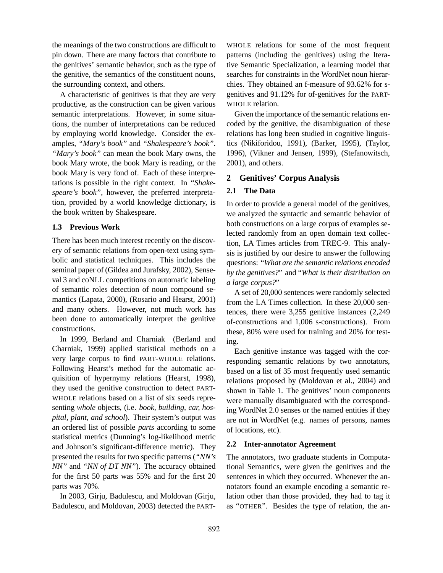the meanings of the two constructions are difficult to pin down. There are many factors that contribute to the genitives' semantic behavior, such as the type of the genitive, the semantics of the constituent nouns, the surrounding context, and others.

A characteristic of genitives is that they are very productive, as the construction can be given various semantic interpretations. However, in some situations, the number of interpretations can be reduced by employing world knowledge. Consider the examples, *"Mary's book"* and *"Shakespeare's book"*. *"Mary's book"* can mean the book Mary owns, the book Mary wrote, the book Mary is reading, or the book Mary is very fond of. Each of these interpretations is possible in the right context. In *"Shakespeare's book"*, however, the preferred interpretation, provided by a world knowledge dictionary, is the book written by Shakespeare.

### **1.3 Previous Work**

There has been much interest recently on the discovery of semantic relations from open-text using symbolic and statistical techniques. This includes the seminal paper of (Gildea and Jurafsky, 2002), Senseval 3 and coNLL competitions on automatic labeling of semantic roles detection of noun compound semantics (Lapata, 2000), (Rosario and Hearst, 2001) and many others. However, not much work has been done to automatically interpret the genitive constructions.

In 1999, Berland and Charniak (Berland and Charniak, 1999) applied statistical methods on a very large corpus to find PART-WHOLE relations. Following Hearst's method for the automatic acquisition of hypernymy relations (Hearst, 1998), they used the genitive construction to detect PART-WHOLE relations based on a list of six seeds representing *whole* objects, (i.e. *book, building, car, hospital, plant, and school*). Their system's output was an ordered list of possible *parts* according to some statistical metrics (Dunning's log-likelihood metric and Johnson's significant-difference metric). They presented the results for two specific patterns (*"NN's NN"* and *"NN of DT NN"*). The accuracy obtained for the first 50 parts was 55% and for the first 20 parts was 70%.

In 2003, Girju, Badulescu, and Moldovan (Girju, Badulescu, and Moldovan, 2003) detected the PART- WHOLE relations for some of the most frequent patterns (including the genitives) using the Iterative Semantic Specialization, a learning model that searches for constraints in the WordNet noun hierarchies. They obtained an f-measure of 93.62% for sgenitives and 91.12% for of-genitives for the PART-WHOLE relation.

Given the importance of the semantic relations encoded by the genitive, the disambiguation of these relations has long been studied in cognitive linguistics (Nikiforidou, 1991), (Barker, 1995), (Taylor, 1996), (Vikner and Jensen, 1999), (Stefanowitsch, 2001), and others.

#### **2 Genitives' Corpus Analysis**

#### **2.1 The Data**

In order to provide a general model of the genitives, we analyzed the syntactic and semantic behavior of both constructions on a large corpus of examples selected randomly from an open domain text collection, LA Times articles from TREC-9. This analysis is justified by our desire to answer the following questions: "*What are the semantic relations encoded by the genitives?*" and "*What is their distribution on a large corpus?*"

A set of 20,000 sentences were randomly selected from the LA Times collection. In these 20,000 sentences, there were 3,255 genitive instances (2,249 of-constructions and 1,006 s-constructions). From these, 80% were used for training and 20% for testing.

Each genitive instance was tagged with the corresponding semantic relations by two annotators, based on a list of 35 most frequently used semantic relations proposed by (Moldovan et al., 2004) and shown in Table 1. The genitives' noun components were manually disambiguated with the corresponding WordNet 2.0 senses or the named entities if they are not in WordNet (e.g. names of persons, names of locations, etc).

#### **2.2 Inter-annotator Agreement**

The annotators, two graduate students in Computational Semantics, were given the genitives and the sentences in which they occurred. Whenever the annotators found an example encoding a semantic relation other than those provided, they had to tag it as "OTHER". Besides the type of relation, the an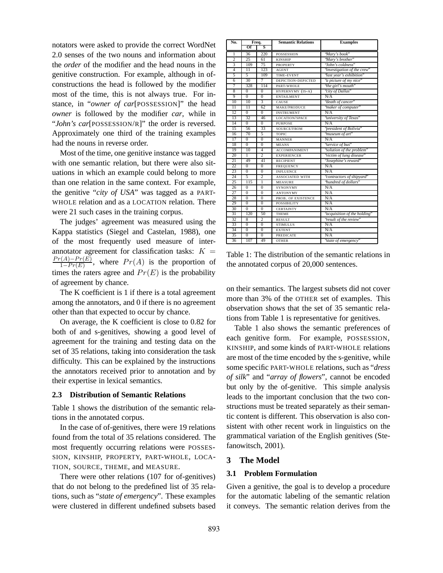notators were asked to provide the correct WordNet 2.0 senses of the two nouns and information about the *order* of the modifier and the head nouns in the genitive construction. For example, although in ofconstructions the head is followed by the modifier most of the time, this is not always true. For instance, in "*owner of car*[POSSESSION]" the head *owner* is followed by the modifier *car*, while in "*John's car*[POSSESSION/R]" the order is reversed. Approximately one third of the training examples had the nouns in reverse order.

Most of the time, one genitive instance was tagged with one semantic relation, but there were also situations in which an example could belong to more than one relation in the same context. For example, the genitive "*city of USA*" was tagged as a PART-WHOLE relation and as a LOCATION relation. There were 21 such cases in the training corpus.

The judges' agreement was measured using the Kappa statistics (Siegel and Castelan, 1988), one of the most frequently used measure of interannotator agreement for classification tasks:  $K =$  $Pr(A)-Pr(E)$  $\frac{(A)-P(r(E))}{1-P(r(E))}$ , where  $Pr(A)$  is the proportion of times the raters agree and  $Pr(E)$  is the probability of agreement by chance.

The K coefficient is 1 if there is a total agreement among the annotators, and 0 if there is no agreement other than that expected to occur by chance.

On average, the K coefficient is close to 0.82 for both of and s-genitives, showing a good level of agreement for the training and testing data on the set of 35 relations, taking into consideration the task difficulty. This can be explained by the instructions the annotators received prior to annotation and by their expertise in lexical semantics.

#### **2.3 Distribution of Semantic Relations**

Table 1 shows the distribution of the semantic relations in the annotated corpus.

In the case of of-genitives, there were 19 relations found from the total of 35 relations considered. The most frequently occurring relations were POSSES-SION, KINSHIP, PROPERTY, PART-WHOLE, LOCA-TION, SOURCE, THEME, and MEASURE.

There were other relations (107 for of-genitives) that do not belong to the predefined list of 35 relations, such as "*state of emergency*". These examples were clustered in different undefined subsets based

| No.             |                 | Freq.          | <b>Semantic Relations</b> | <b>Examples</b>              |
|-----------------|-----------------|----------------|---------------------------|------------------------------|
|                 | Of              | s              |                           |                              |
| 1               | 36              | 220            | <b>POSSESSION</b>         | "Mary's book"                |
| $\overline{2}$  | 25              | 61             | <b>KINSHIP</b>            | "Mary's brother"             |
| 3               | 109             | 75             | <b>PROPERTY</b>           | "John's coldness"            |
| $\overline{4}$  | 11              | 123            | <b>AGENT</b>              | "investigation of the crew"  |
| 5               | 5               | 109            | <b>TIME-EVENT</b>         | "last year's exhibition"     |
| 6               | 30              | 7              | DEPICTION-DEPICTED        | "a picture of my nice"       |
| 7               | 328             | 114            | PART-WHOLE                | 'the girl's mouth''          |
| 8               | $\overline{0}$  | $\Omega$       | HYPERNYMY (IS-A)          | "city of Dallas"             |
| 9               | $\overline{0}$  | $\overline{0}$ | <b>ENTAILMENT</b>         | N/A                          |
| 10              | 10              | 3              | <b>CAUSE</b>              | "death of cancer"            |
| 11              | $\overline{11}$ | 62             | <b>MAKE/PRODUCE</b>       | 'maker of computer''         |
| 12              | $\overline{0}$  | $\Omega$       | <b>INSTRUMENT</b>         | N/A                          |
| 13              | 32              | 46             | <b>LOCATION/SPACE</b>     | "university of Texas"        |
| $\overline{14}$ | $\Omega$        | $\Omega$       | PURPOSE.                  | N/A                          |
| 15              | 56              | 33             | SOURCE/FROM               | "president of Bolivia"       |
| 16              | 70              | 5              | <b>TOPIC</b>              | 'museum of art"              |
| 17              | $\overline{0}$  | $\overline{0}$ | <b>MANNER</b>             | N/A                          |
| 18              | $\overline{0}$  | $\overline{0}$ | <b>MEANS</b>              | "service of bus"             |
| 19              | 10              | 4              | <b>ACCOMPANIMENT</b>      | "solution of the problem"    |
| 20              | 1               | $\overline{2}$ | <b>EXPERIENCER</b>        | "victim of lung disease"     |
| 21              | 49              | 41             | <b>RECIPIENT</b>          | "Josephine's reward"         |
| 22              | $\overline{0}$  | $\overline{0}$ | <b>FREQUENCY</b>          | N/A                          |
| 23              | $\Omega$        | $\overline{0}$ | <b>INFLUENCE</b>          | N/A                          |
| 24              | 5               | $\overline{c}$ | <b>ASSOCIATED WITH</b>    | "contractors of shipyard"    |
| 25              | 115             | T              | <b>MEASURE</b>            | "hundred of dollars"         |
| 26              | $\Omega$        | $\Omega$       | SYNONYMY                  | N/A                          |
| 27              | $\overline{0}$  | $\overline{0}$ | <b>ANTONYMY</b>           | N/A                          |
| 28              | $\overline{0}$  | $\overline{0}$ | PROB. OF EXISTENCE        | N/A                          |
| 29              | $\overline{0}$  | $\overline{0}$ | <b>POSSIBILITY</b>        | N/A                          |
| 30              | $\overline{0}$  | $\overline{0}$ | <b>CERTAINTY</b>          | N/A                          |
| 31              | 120             | 50             | <b>THEME</b>              | "acquisition of the holding" |
| 32              | 8               | $\overline{c}$ | <b>RESULT</b>             | "result of the review"       |
| 33              | $\overline{0}$  | $\overline{0}$ | <b>STIMULUS</b>           | N/A                          |
| 34              | $\overline{0}$  | $\overline{0}$ | <b>EXTENT</b>             | N/A                          |
| 35              | $\overline{0}$  | $\Omega$       | <b>PREDICATE</b>          | N/A                          |
| 36              | 107             | 49             | <b>OTHER</b>              | "state of emergency"         |

Table 1: The distribution of the semantic relations in the annotated corpus of 20,000 sentences.

on their semantics. The largest subsets did not cover more than 3% of the OTHER set of examples. This observation shows that the set of 35 semantic relations from Table 1 is representative for genitives.

Table 1 also shows the semantic preferences of each genitive form. For example, POSSESSION, KINSHIP, and some kinds of PART-WHOLE relations are most of the time encoded by the s-genitive, while some specific PART-WHOLE relations, such as "*dress of silk*" and "*array of flowers*", cannot be encoded but only by the of-genitive. This simple analysis leads to the important conclusion that the two constructions must be treated separately as their semantic content is different. This observation is also consistent with other recent work in linguistics on the grammatical variation of the English genitives (Stefanowitsch, 2001).

#### **3 The Model**

### **3.1 Problem Formulation**

Given a genitive, the goal is to develop a procedure for the automatic labeling of the semantic relation it conveys. The semantic relation derives from the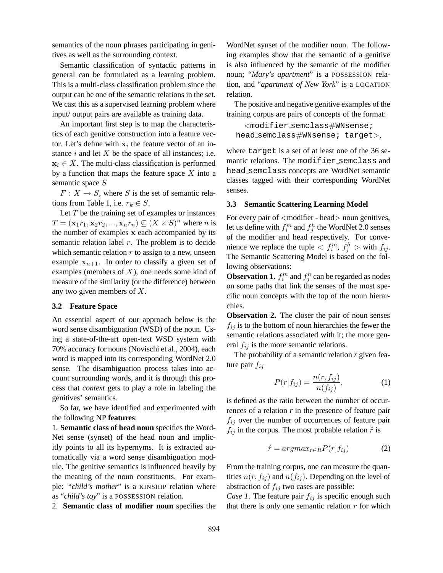semantics of the noun phrases participating in genitives as well as the surrounding context.

Semantic classification of syntactic patterns in general can be formulated as a learning problem. This is a multi-class classification problem since the output can be one of the semantic relations in the set. We cast this as a supervised learning problem where input/ output pairs are available as training data.

An important first step is to map the characteristics of each genitive construction into a feature vector. Let's define with  $x_i$  the feature vector of an instance  $i$  and let  $X$  be the space of all instances; i.e.  $x_i \in X$ . The multi-class classification is performed by a function that maps the feature space  $X$  into a semantic space S

 $F: X \to S$ , where S is the set of semantic relations from Table 1, i.e.  $r_k \in S$ .

Let  $T$  be the training set of examples or instances  $T = (\mathbf{x}_1 r_1, \mathbf{x}_2 r_2, ..., \mathbf{x}_n r_n) \subseteq (X \times S)^n$  where *n* is the number of examples x each accompanied by its semantic relation label  $r$ . The problem is to decide which semantic relation  $r$  to assign to a new, unseen example  $x_{n+1}$ . In order to classify a given set of examples (members of  $X$ ), one needs some kind of measure of the similarity (or the difference) between any two given members of X.

### **3.2 Feature Space**

An essential aspect of our approach below is the word sense disambiguation (WSD) of the noun. Using a state-of-the-art open-text WSD system with 70% accuracy for nouns (Novischi et al., 2004), each word is mapped into its corresponding WordNet 2.0 sense. The disambiguation process takes into account surrounding words, and it is through this process that *context* gets to play a role in labeling the genitives' semantics.

So far, we have identified and experimented with the following NP **features**:

1. **Semantic class of head noun** specifies the Word-Net sense (synset) of the head noun and implicitly points to all its hypernyms. It is extracted automatically via a word sense disambiguation module. The genitive semantics is influenced heavily by the meaning of the noun constituents. For example: "*child's mother*" is a KINSHIP relation where as "*child's toy*" is a POSSESSION relation.

2. **Semantic class of modifier noun** specifies the

WordNet synset of the modifier noun. The following examples show that the semantic of a genitive is also influenced by the semantic of the modifier noun; "*Mary's apartment*" is a POSSESSION relation, and "*apartment of New York*" is a LOCATION relation.

The positive and negative genitive examples of the training corpus are pairs of concepts of the format:

```
<modifier semclass#WNsense;
head semclass#WNsense; target>,
```
where target is a set of at least one of the 36 semantic relations. The modifier semclass and head semclass concepts are WordNet semantic classes tagged with their corresponding WordNet senses.

#### **3.3 Semantic Scattering Learning Model**

For every pair of  $\leq$  modifier - head $>$  noun genitives, let us define with  $f_i^m$  and  $f_j^h$  the WordNet 2.0 senses of the modifier and head respectively. For convemience we replace the tuple  $\langle f_i^m, f_j^h \rangle$  with  $f_{ij}$ . The Semantic Scattering Model is based on the following observations:

**Observation 1.**  $f_i^m$  and  $f_j^h$  can be regarded as nodes on some paths that link the senses of the most specific noun concepts with the top of the noun hierarchies.

**Observation 2.** The closer the pair of noun senses  $f_{ij}$  is to the bottom of noun hierarchies the fewer the semantic relations associated with it; the more general  $f_{ij}$  is the more semantic relations.

The probability of a semantic relation *r* given feature pair  $f_{ij}$ 

$$
P(r|f_{ij}) = \frac{n(r, f_{ij})}{n(f_{ij})},\tag{1}
$$

is defined as the ratio between the number of occurrences of a relation *r* in the presence of feature pair  $f_{ij}$  over the number of occurrences of feature pair  $f_{ij}$  in the corpus. The most probable relation  $\hat{r}$  is

$$
\hat{r} = argmax_{r \in R} P(r|f_{ij}) \tag{2}
$$

From the training corpus, one can measure the quantities  $n(r, f_{ij})$  and  $n(f_{ij})$ . Depending on the level of abstraction of  $f_{ij}$  two cases are possible:

*Case 1*. The feature pair  $f_{ij}$  is specific enough such that there is only one semantic relation  $r$  for which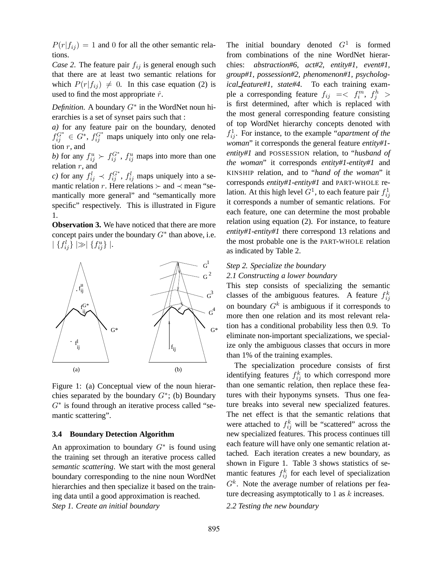$P(r|f_{ij}) = 1$  and 0 for all the other semantic relations.

*Case* 2. The feature pair  $f_{ij}$  is general enough such that there are at least two semantic relations for which  $P(r|f_{ii}) \neq 0$ . In this case equation (2) is used to find the most appropriate  $\hat{r}$ .

*Definition*. A boundary  $G^*$  in the WordNet noun hierarchies is a set of synset pairs such that :

*a)* for any feature pair on the boundary, denoted  $f_{ij}^{G^*} \in G^*$ ,  $f_{ij}^{G^*}$  maps uniquely into only one relation  $r$ , and

b) for any  $f_{ij}^u \succ f_{ij}^{G^*}$ ,  $f_{ij}^u$  maps into more than one relation  $r$ , and

*c*) for any  $f_{ij}^l \nightharpoonup f_{ij}^{G^*}$ ,  $f_{ij}^l$  maps uniquely into a semantic relation r. Here relations  $\succ$  and  $\prec$  mean "semantically more general" and "semantically more specific" respectively. This is illustrated in Figure 1.

**Observation 3.** We have noticed that there are more concept pairs under the boundary  $G^*$  than above, i.e.  $| \{f_{ij}^l\} | \gg | \{f_{ij}^u\} |.$ 



Figure 1: (a) Conceptual view of the noun hierarchies separated by the boundary  $G^*$ ; (b) Boundary  $G^*$  is found through an iterative process called "semantic scattering".

#### **3.4 Boundary Detection Algorithm**

An approximation to boundary  $G^*$  is found using the training set through an iterative process called *semantic scattering*. We start with the most general boundary corresponding to the nine noun WordNet hierarchies and then specialize it based on the training data until a good approximation is reached. *Step 1. Create an initial boundary*

The initial boundary denoted  $G<sup>1</sup>$  is formed from combinations of the nine WordNet hierarchies: *abstraction#6, act#2, entity#1, event#1, group#1, possession#2, phenomenon#1, psychological feature#1, state#4*. To each training example a corresponding feature  $f_{ij} = \langle f_i^m, f_j^h \rangle$ is first determined, after which is replaced with the most general corresponding feature consisting of top WordNet hierarchy concepts denoted with  $f_{ij}^1$ . For instance, to the example "*apartment of the woman*" it corresponds the general feature *entity#1 entity#1* and POSSESSION relation, to "*husband of the woman*" it corresponds *entity#1-entity#1* and KINSHIP relation, and to "*hand of the woman*" it corresponds *entity#1-entity#1* and PART-WHOLE relation. At this high level  $G^1$ , to each feature pair  $f_{ij}^1$ it corresponds a number of semantic relations. For each feature, one can determine the most probable relation using equation (2). For instance, to feature *entity#1-entity#1* there correspond 13 relations and the most probable one is the PART-WHOLE relation as indicated by Table 2.

## *Step 2. Specialize the boundary 2.1 Constructing a lower boundary*

This step consists of specializing the semantic classes of the ambiguous features. A feature  $f_{ij}^k$ on boundary  $G^k$  is ambiguous if it corresponds to more then one relation and its most relevant relation has a conditional probability less then 0.9. To eliminate non-important specializations, we specialize only the ambiguous classes that occurs in more than 1% of the training examples.

The specialization procedure consists of first identifying features  $f_{ij}^k$  to which correspond more than one semantic relation, then replace these features with their hyponyms synsets. Thus one feature breaks into several new specialized features. The net effect is that the semantic relations that were attached to  $f_{ij}^k$  will be "scattered" across the new specialized features. This process continues till each feature will have only one semantic relation attached. Each iteration creates a new boundary, as shown in Figure 1. Table 3 shows statistics of semantic features  $f_{ij}^k$  for each level of specialization  $G<sup>k</sup>$ . Note the average number of relations per feature decreasing asymptotically to 1 as  $k$  increases.

*2.2 Testing the new boundary*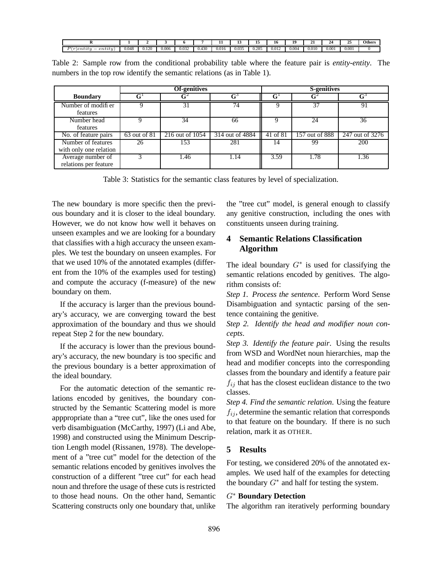|                                                              |       |              |       |       |       |       |               |       | 10    | 10    | --    | -     | --    | Other. |
|--------------------------------------------------------------|-------|--------------|-------|-------|-------|-------|---------------|-------|-------|-------|-------|-------|-------|--------|
| $\mathbf{D}$<br>$e_{n}$<br>tıtu<br>$\lq$ lentity<br>-<br>- 7 | 0.048 | 120<br>0.120 | 0.006 | 0.032 | 0.430 | 0.016 | 0.25<br>0.032 | 0.285 | 0.012 | 0.004 | 0.010 | 0.001 | 0.001 |        |

Table 2: Sample row from the conditional probability table where the feature pair is *entity-entity*. The numbers in the top row identify the semantic relations (as in Table 1).

|                                              | <b>Of-genitives</b> |                 |                 | S-genitives |                |                 |  |
|----------------------------------------------|---------------------|-----------------|-----------------|-------------|----------------|-----------------|--|
| <b>Boundary</b>                              | $\mathbf{G}^1$      | $\mathsf{G}^2$  | $\mathbf{G}^3$  | $G^{\perp}$ | $\mathbf{G}^2$ | $\mathbf{G}^3$  |  |
| Number of modifier<br>features               | Q                   | 31              | $\overline{74}$ |             | 37             | 91              |  |
| Number head<br>features                      |                     | 34              | 66              | 9           | 24             | 36              |  |
| No. of feature pairs                         | 63 out of 81        | 216 out of 1054 | 314 out of 4884 | 41 of 81    | 157 out of 888 | 247 out of 3276 |  |
| Number of features<br>with only one relation | 26                  | 153             | 281             | 14          | 99             | 200             |  |
| Average number of<br>relations per feature   |                     | .46             | 1.14            | 3.59        | 1.78           | .36             |  |

Table 3: Statistics for the semantic class features by level of specialization.

The new boundary is more specific then the previous boundary and it is closer to the ideal boundary. However, we do not know how well it behaves on unseen examples and we are looking for a boundary that classifies with a high accuracy the unseen examples. We test the boundary on unseen examples. For that we used 10% of the annotated examples (different from the 10% of the examples used for testing) and compute the accuracy (f-measure) of the new boundary on them.

If the accuracy is larger than the previous boundary's accuracy, we are converging toward the best approximation of the boundary and thus we should repeat Step 2 for the new boundary.

If the accuracy is lower than the previous boundary's accuracy, the new boundary is too specific and the previous boundary is a better approximation of the ideal boundary.

For the automatic detection of the semantic relations encoded by genitives, the boundary constructed by the Semantic Scattering model is more apppropriate than a "tree cut", like the ones used for verb disambiguation (McCarthy, 1997) (Li and Abe, 1998) and constructed using the Minimum Description Length model (Rissanen, 1978). The developement of a "tree cut" model for the detection of the semantic relations encoded by genitives involves the construction of a different "tree cut" for each head noun and threfore the usage of these cuts is restricted to those head nouns. On the other hand, Semantic Scattering constructs only one boundary that, unlike

the "tree cut" model, is general enough to classify any genitive construction, including the ones with constituents unseen during training.

## **4 Semantic Relations Classification Algorithm**

The ideal boundary  $G^*$  is used for classifying the semantic relations encoded by genitives. The algorithm consists of:

*Step 1. Process the sentence*. Perform Word Sense Disambiguation and syntactic parsing of the sentence containing the genitive.

*Step 2. Identify the head and modifier noun concepts*.

*Step 3. Identify the feature pair*. Using the results from WSD and WordNet noun hierarchies, map the head and modifier concepts into the corresponding classes from the boundary and identify a feature pair  $f_{ij}$  that has the closest euclidean distance to the two classes.

*Step 4. Find the semantic relation*. Using the feature  $f_{ij}$ , determine the semantic relation that corresponds to that feature on the boundary. If there is no such relation, mark it as OTHER.

### **5 Results**

For testing, we considered 20% of the annotated examples. We used half of the examples for detecting the boundary  $G^*$  and half for testing the system.

### G<sup>∗</sup> **Boundary Detection**

The algorithm ran iteratively performing boundary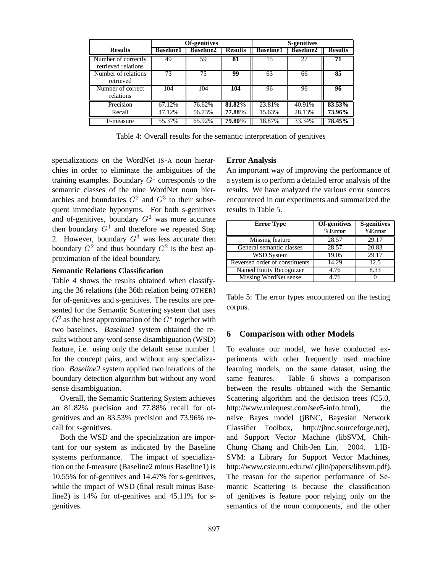|                                            | <b>Of-genitives</b> |                  |                | S-genitives      |                  |                |  |
|--------------------------------------------|---------------------|------------------|----------------|------------------|------------------|----------------|--|
| <b>Results</b>                             | <b>Baseline1</b>    | <b>Baseline2</b> | <b>Results</b> | <b>Baseline1</b> | <b>Baseline2</b> | <b>Results</b> |  |
| Number of correctly<br>retrieved relations | 49                  | 59               | 81             | 15               | 27               | 71             |  |
| Number of relations<br>retrieved           | 73                  | 75               | 99             | 63               | 66               | 85             |  |
| Number of correct<br>relations             | 104                 | 104              | 104            | 96               | 96               | 96             |  |
| Precision                                  | 67.12%              | 76.62%           | 81.82%         | 23.81%           | 40.91%           | 83.53%         |  |
| Recall                                     | 47.12%              | 56.73%           | 77.88%         | 15.63%           | 28.13%           | 73.96%         |  |
| F-measure                                  | 55.37%              | 65.92%           | 79.80%         | 18.87%           | 33.34%           | 78.45%         |  |

Table 4: Overall results for the semantic interpretation of genitives

specializations on the WordNet IS-A noun hierarchies in order to eliminate the ambiguities of the training examples. Boundary  $G<sup>1</sup>$  corresponds to the semantic classes of the nine WordNet noun hierarchies and boundaries  $G^2$  and  $G^3$  to their subsequent immediate hyponyms. For both s-genitives and of-genitives, boundary  $G<sup>2</sup>$  was more accurate then boundary  $G^1$  and therefore we repeated Step 2. However, boundary  $G<sup>3</sup>$  was less accurate then boundary  $G^2$  and thus boundary  $G^2$  is the best approximation of the ideal boundary.

#### **Semantic Relations Classification**

Table 4 shows the results obtained when classifying the 36 relations (the 36th relation being OTHER) for of-genitives and s-genitives. The results are presented for the Semantic Scattering system that uses  $G<sup>2</sup>$  as the best approximation of the  $G<sup>*</sup>$  together with two baselines. *Baseline1* system obtained the results without any word sense disambiguation (WSD) feature, i.e. using only the default sense number 1 for the concept pairs, and without any specialization. *Baseline2* system applied two iterations of the boundary detection algorithm but without any word sense disambiguation.

Overall, the Semantic Scattering System achieves an 81.82% precision and 77.88% recall for ofgenitives and an 83.53% precision and 73.96% recall for s-genitives.

Both the WSD and the specialization are important for our system as indicated by the Baseline systems performance. The impact of specialization on the f-measure (Baseline2 minus Baseline1) is 10.55% for of-genitives and 14.47% for s-genitives, while the impact of WSD (final result minus Baseline2) is 14% for of-genitives and 45.11% for sgenitives.

#### **Error Analysis**

An important way of improving the performance of a system is to perform a detailed error analysis of the results. We have analyzed the various error sources encountered in our experiments and summarized the results in Table 5.

| <b>Error Type</b>              | Of-genitives | <b>S-genitives</b> |
|--------------------------------|--------------|--------------------|
|                                | %Error       | %Error             |
| Missing feature                | 28.57        | 29.17              |
| General semantic classes       | 28.57        | 20.83              |
| <b>WSD System</b>              | 19.05        | 29.17              |
| Reversed order of constituents | 14.29        | 12.5               |
| Named Entity Recognizer        | 4.76         | 8.33               |
| <b>Missing WordNet sense</b>   | 4.76         |                    |

Table 5: The error types encountered on the testing corpus.

### **6 Comparison with other Models**

To evaluate our model, we have conducted experiments with other frequently used machine learning models, on the same dataset, using the same features. Table 6 shows a comparison between the results obtained with the Semantic Scattering algorithm and the decision trees (C5.0, http://www.rulequest.com/see5-info.html), the naive Bayes model (jBNC, Bayesian Network Classifier Toolbox, http://jbnc.sourceforge.net), and Support Vector Machine (libSVM, Chih-Chung Chang and Chih-Jen Lin. 2004. LIB-SVM: a Library for Support Vector Machines, http://www.csie.ntu.edu.tw/ cjlin/papers/libsvm.pdf). The reason for the superior performance of Semantic Scattering is because the classification of genitives is feature poor relying only on the semantics of the noun components, and the other